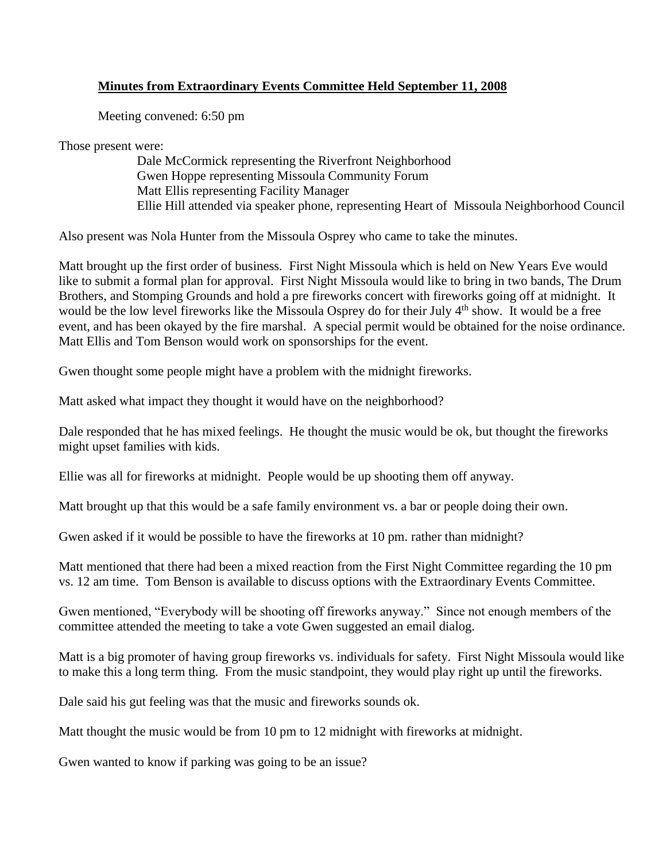## **Minutes from Extraordinary Events Committee Held September 11, 2008**

Meeting convened: 6:50 pm

Those present were:

Dale McCormick representing the Riverfront Neighborhood Gwen Hoppe representing Missoula Community Forum Matt Ellis representing Facility Manager Ellie Hill attended via speaker phone, representing Heart of Missoula Neighborhood Council

Also present was Nola Hunter from the Missoula Osprey who came to take the minutes.

Matt brought up the first order of business. First Night Missoula which is held on New Years Eve would like to submit a formal plan for approval. First Night Missoula would like to bring in two bands, The Drum Brothers, and Stomping Grounds and hold a pre fireworks concert with fireworks going off at midnight. It would be the low level fireworks like the Missoula Osprey do for their July 4<sup>th</sup> show. It would be a free event, and has been okayed by the fire marshal. A special permit would be obtained for the noise ordinance. Matt Ellis and Tom Benson would work on sponsorships for the event.

Gwen thought some people might have a problem with the midnight fireworks.

Matt asked what impact they thought it would have on the neighborhood?

Dale responded that he has mixed feelings. He thought the music would be ok, but thought the fireworks might upset families with kids.

Ellie was all for fireworks at midnight. People would be up shooting them off anyway.

Matt brought up that this would be a safe family environment vs. a bar or people doing their own.

Gwen asked if it would be possible to have the fireworks at 10 pm. rather than midnight?

Matt mentioned that there had been a mixed reaction from the First Night Committee regarding the 10 pm vs. 12 am time. Tom Benson is available to discuss options with the Extraordinary Events Committee.

Gwen mentioned, "Everybody will be shooting off fireworks anyway." Since not enough members of the committee attended the meeting to take a vote Gwen suggested an email dialog.

Matt is a big promoter of having group fireworks vs. individuals for safety. First Night Missoula would like to make this a long term thing. From the music standpoint, they would play right up until the fireworks.

Dale said his gut feeling was that the music and fireworks sounds ok.

Matt thought the music would be from 10 pm to 12 midnight with fireworks at midnight.

Gwen wanted to know if parking was going to be an issue?